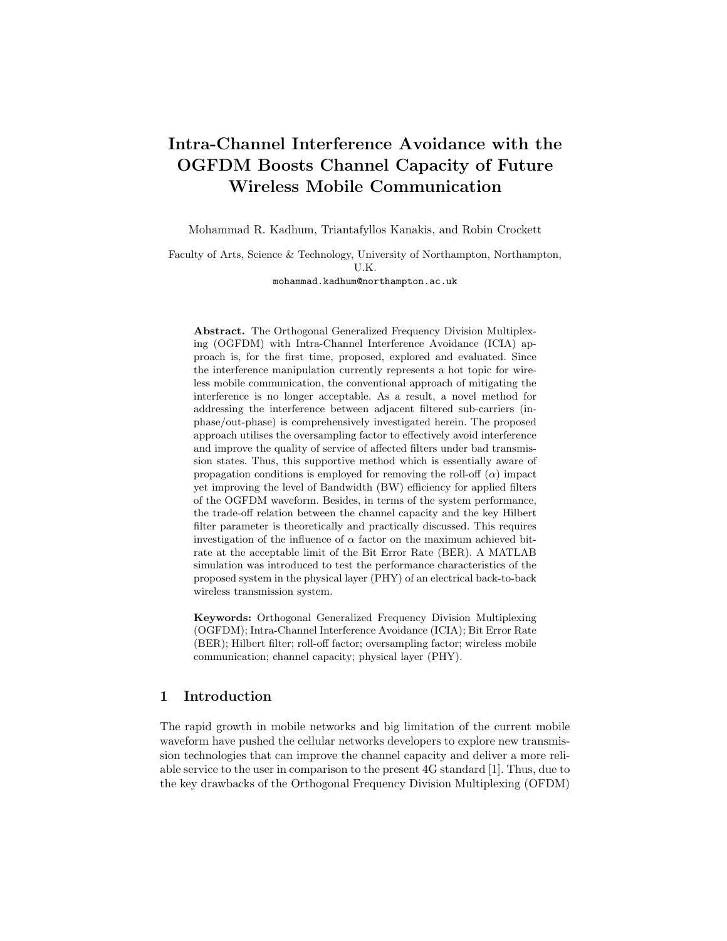# Intra-Channel Interference Avoidance with the OGFDM Boosts Channel Capacity of Future Wireless Mobile Communication

Mohammad R. Kadhum, Triantafyllos Kanakis, and Robin Crockett

Faculty of Arts, Science & Technology, University of Northampton, Northampton, U.K.

mohammad.kadhum@northampton.ac.uk

Abstract. The Orthogonal Generalized Frequency Division Multiplexing (OGFDM) with Intra-Channel Interference Avoidance (ICIA) approach is, for the first time, proposed, explored and evaluated. Since the interference manipulation currently represents a hot topic for wireless mobile communication, the conventional approach of mitigating the interference is no longer acceptable. As a result, a novel method for addressing the interference between adjacent filtered sub-carriers (inphase/out-phase) is comprehensively investigated herein. The proposed approach utilises the oversampling factor to effectively avoid interference and improve the quality of service of affected filters under bad transmission states. Thus, this supportive method which is essentially aware of propagation conditions is employed for removing the roll-off  $(\alpha)$  impact yet improving the level of Bandwidth (BW) efficiency for applied filters of the OGFDM waveform. Besides, in terms of the system performance, the trade-off relation between the channel capacity and the key Hilbert filter parameter is theoretically and practically discussed. This requires investigation of the influence of  $\alpha$  factor on the maximum achieved bitrate at the acceptable limit of the Bit Error Rate (BER). A MATLAB simulation was introduced to test the performance characteristics of the proposed system in the physical layer (PHY) of an electrical back-to-back wireless transmission system.

Keywords: Orthogonal Generalized Frequency Division Multiplexing (OGFDM); Intra-Channel Interference Avoidance (ICIA); Bit Error Rate (BER); Hilbert filter; roll-off factor; oversampling factor; wireless mobile communication; channel capacity; physical layer (PHY).

## 1 Introduction

The rapid growth in mobile networks and big limitation of the current mobile waveform have pushed the cellular networks developers to explore new transmission technologies that can improve the channel capacity and deliver a more reliable service to the user in comparison to the present 4G standard [1]. Thus, due to the key drawbacks of the Orthogonal Frequency Division Multiplexing (OFDM)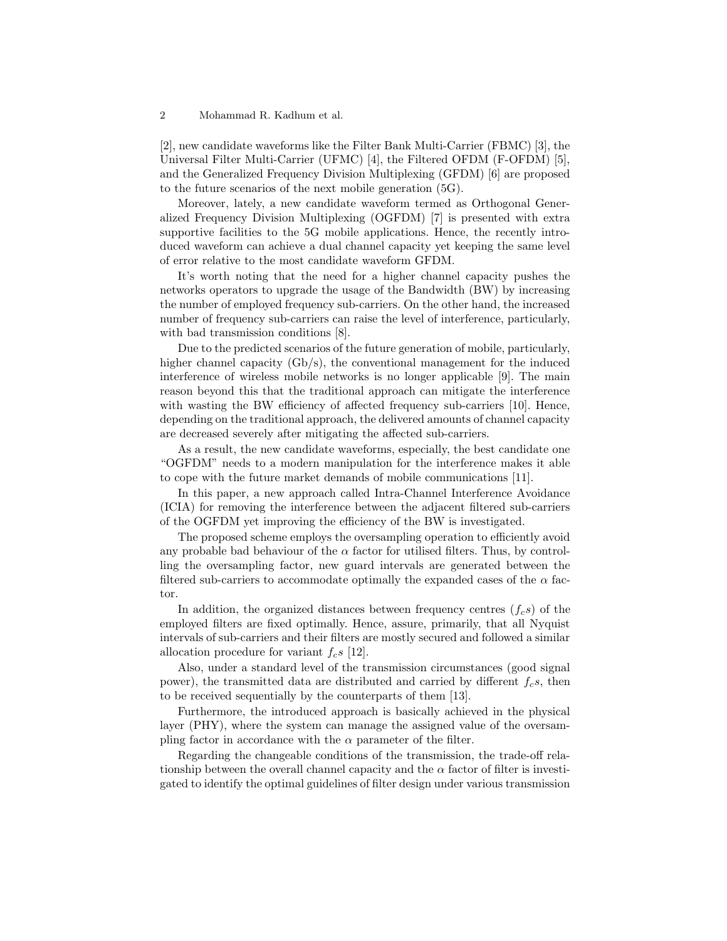[2], new candidate waveforms like the Filter Bank Multi-Carrier (FBMC) [3], the Universal Filter Multi-Carrier (UFMC) [4], the Filtered OFDM (F-OFDM) [5], and the Generalized Frequency Division Multiplexing (GFDM) [6] are proposed to the future scenarios of the next mobile generation (5G).

Moreover, lately, a new candidate waveform termed as Orthogonal Generalized Frequency Division Multiplexing (OGFDM) [7] is presented with extra supportive facilities to the 5G mobile applications. Hence, the recently introduced waveform can achieve a dual channel capacity yet keeping the same level of error relative to the most candidate waveform GFDM.

It's worth noting that the need for a higher channel capacity pushes the networks operators to upgrade the usage of the Bandwidth (BW) by increasing the number of employed frequency sub-carriers. On the other hand, the increased number of frequency sub-carriers can raise the level of interference, particularly, with bad transmission conditions [8].

Due to the predicted scenarios of the future generation of mobile, particularly, higher channel capacity  $(Gb/s)$ , the conventional management for the induced interference of wireless mobile networks is no longer applicable [9]. The main reason beyond this that the traditional approach can mitigate the interference with wasting the BW efficiency of affected frequency sub-carriers [10]. Hence, depending on the traditional approach, the delivered amounts of channel capacity are decreased severely after mitigating the affected sub-carriers.

As a result, the new candidate waveforms, especially, the best candidate one "OGFDM" needs to a modern manipulation for the interference makes it able to cope with the future market demands of mobile communications [11].

In this paper, a new approach called Intra-Channel Interference Avoidance (ICIA) for removing the interference between the adjacent filtered sub-carriers of the OGFDM yet improving the efficiency of the BW is investigated.

The proposed scheme employs the oversampling operation to efficiently avoid any probable bad behaviour of the  $\alpha$  factor for utilised filters. Thus, by controlling the oversampling factor, new guard intervals are generated between the filtered sub-carriers to accommodate optimally the expanded cases of the  $\alpha$  factor.

In addition, the organized distances between frequency centres  $(f_c s)$  of the employed filters are fixed optimally. Hence, assure, primarily, that all Nyquist intervals of sub-carriers and their filters are mostly secured and followed a similar allocation procedure for variant  $f_c s$  [12].

Also, under a standard level of the transmission circumstances (good signal power), the transmitted data are distributed and carried by different  $f_c s$ , then to be received sequentially by the counterparts of them [13].

Furthermore, the introduced approach is basically achieved in the physical layer (PHY), where the system can manage the assigned value of the oversampling factor in accordance with the  $\alpha$  parameter of the filter.

Regarding the changeable conditions of the transmission, the trade-off relationship between the overall channel capacity and the  $\alpha$  factor of filter is investigated to identify the optimal guidelines of filter design under various transmission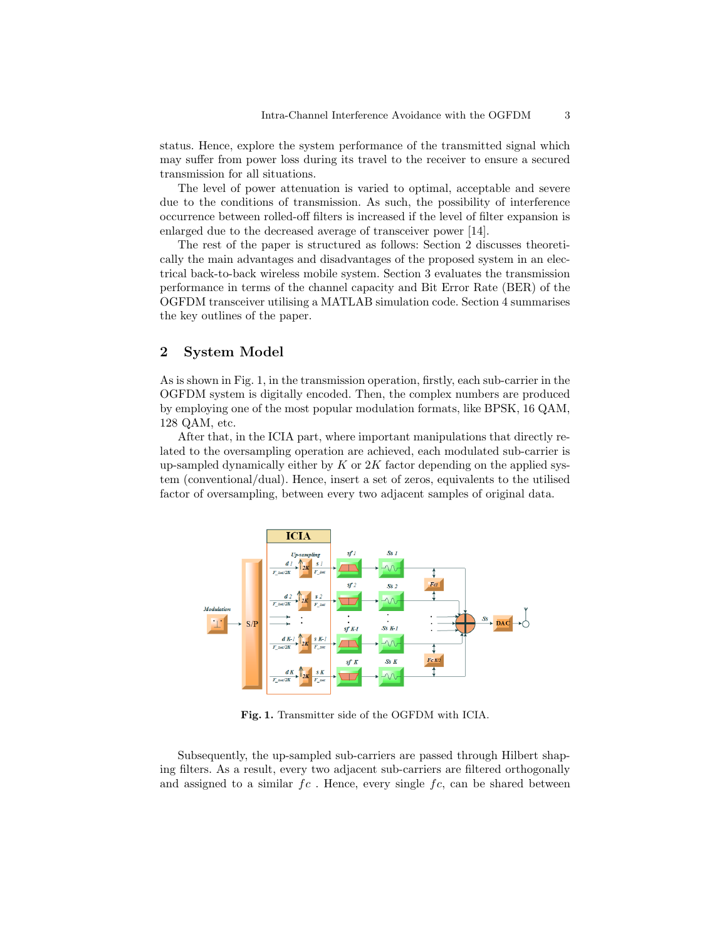status. Hence, explore the system performance of the transmitted signal which may suffer from power loss during its travel to the receiver to ensure a secured transmission for all situations.

The level of power attenuation is varied to optimal, acceptable and severe due to the conditions of transmission. As such, the possibility of interference occurrence between rolled-off filters is increased if the level of filter expansion is enlarged due to the decreased average of transceiver power [14].

The rest of the paper is structured as follows: Section 2 discusses theoretically the main advantages and disadvantages of the proposed system in an electrical back-to-back wireless mobile system. Section 3 evaluates the transmission performance in terms of the channel capacity and Bit Error Rate (BER) of the OGFDM transceiver utilising a MATLAB simulation code. Section 4 summarises the key outlines of the paper.

## 2 System Model

As is shown in Fig. 1, in the transmission operation, firstly, each sub-carrier in the OGFDM system is digitally encoded. Then, the complex numbers are produced by employing one of the most popular modulation formats, like BPSK, 16 QAM, 128 QAM, etc.

After that, in the ICIA part, where important manipulations that directly related to the oversampling operation are achieved, each modulated sub-carrier is up-sampled dynamically either by  $K$  or  $2K$  factor depending on the applied system (conventional/dual). Hence, insert a set of zeros, equivalents to the utilised factor of oversampling, between every two adjacent samples of original data.



Fig. 1. Transmitter side of the OGFDM with ICIA.

Subsequently, the up-sampled sub-carriers are passed through Hilbert shaping filters. As a result, every two adjacent sub-carriers are filtered orthogonally and assigned to a similar  $fc$ . Hence, every single  $fc$ , can be shared between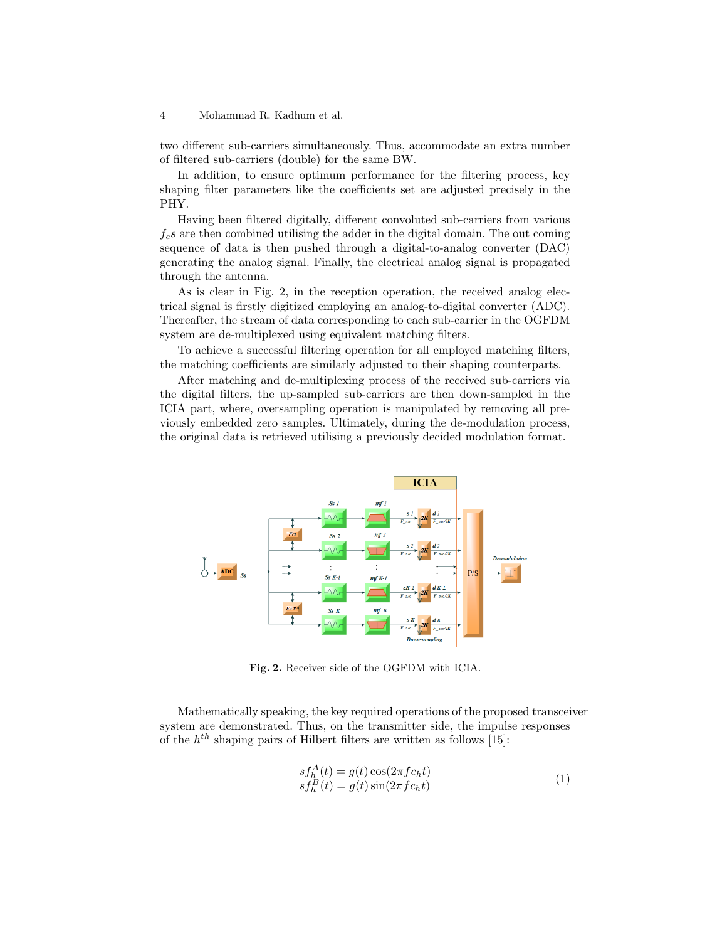two different sub-carriers simultaneously. Thus, accommodate an extra number of filtered sub-carriers (double) for the same BW.

In addition, to ensure optimum performance for the filtering process, key shaping filter parameters like the coefficients set are adjusted precisely in the PHY.

Having been filtered digitally, different convoluted sub-carriers from various  $f_c s$  are then combined utilising the adder in the digital domain. The out coming sequence of data is then pushed through a digital-to-analog converter (DAC) generating the analog signal. Finally, the electrical analog signal is propagated through the antenna.

As is clear in Fig. 2, in the reception operation, the received analog electrical signal is firstly digitized employing an analog-to-digital converter (ADC). Thereafter, the stream of data corresponding to each sub-carrier in the OGFDM system are de-multiplexed using equivalent matching filters.

To achieve a successful filtering operation for all employed matching filters, the matching coefficients are similarly adjusted to their shaping counterparts.

After matching and de-multiplexing process of the received sub-carriers via the digital filters, the up-sampled sub-carriers are then down-sampled in the ICIA part, where, oversampling operation is manipulated by removing all previously embedded zero samples. Ultimately, during the de-modulation process, the original data is retrieved utilising a previously decided modulation format.



Fig. 2. Receiver side of the OGFDM with ICIA.

Mathematically speaking, the key required operations of the proposed transceiver system are demonstrated. Thus, on the transmitter side, the impulse responses of the  $h^{th}$  shaping pairs of Hilbert filters are written as follows [15]:

$$
s f_h^A(t) = g(t) \cos(2\pi f c_h t)
$$
  
\n
$$
s f_h^B(t) = g(t) \sin(2\pi f c_h t)
$$
\n(1)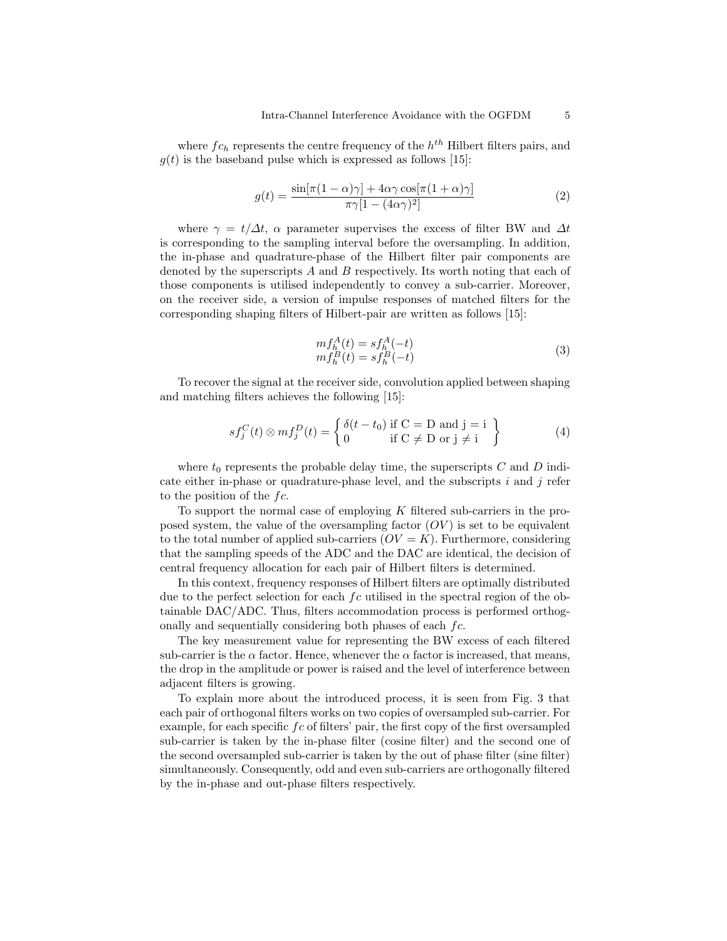where  $fc_h$  represents the centre frequency of the  $h^{th}$  Hilbert filters pairs, and  $g(t)$  is the baseband pulse which is expressed as follows [15]:

$$
g(t) = \frac{\sin[\pi(1-\alpha)\gamma] + 4\alpha\gamma\cos[\pi(1+\alpha)\gamma]}{\pi\gamma[1 - (4\alpha\gamma)^2]}
$$
(2)

where  $\gamma = t/\Delta t$ ,  $\alpha$  parameter supervises the excess of filter BW and  $\Delta t$ is corresponding to the sampling interval before the oversampling. In addition, the in-phase and quadrature-phase of the Hilbert filter pair components are denoted by the superscripts  $A$  and  $B$  respectively. Its worth noting that each of those components is utilised independently to convey a sub-carrier. Moreover, on the receiver side, a version of impulse responses of matched filters for the corresponding shaping filters of Hilbert-pair are written as follows [15]:

$$
mf_h^A(t) = sf_h^A(-t)
$$
  
\n
$$
mf_h^B(t) = sf_h^B(-t)
$$
\n(3)

To recover the signal at the receiver side, convolution applied between shaping and matching filters achieves the following [15]:

$$
s f_j^C(t) \otimes m f_j^D(t) = \begin{cases} \delta(t - t_0) \text{ if } C = D \text{ and } j = i \\ 0 \text{ if } C \neq D \text{ or } j \neq i \end{cases}
$$
 (4)

where  $t_0$  represents the probable delay time, the superscripts  $C$  and  $D$  indicate either in-phase or quadrature-phase level, and the subscripts  $i$  and  $j$  refer to the position of the  $fc$ .

To support the normal case of employing K filtered sub-carriers in the proposed system, the value of the oversampling factor  $(OV)$  is set to be equivalent to the total number of applied sub-carriers  $(OV = K)$ . Furthermore, considering that the sampling speeds of the ADC and the DAC are identical, the decision of central frequency allocation for each pair of Hilbert filters is determined.

In this context, frequency responses of Hilbert filters are optimally distributed due to the perfect selection for each  $fc$  utilised in the spectral region of the obtainable DAC/ADC. Thus, filters accommodation process is performed orthogonally and sequentially considering both phases of each  $fc$ .

The key measurement value for representing the BW excess of each filtered sub-carrier is the  $\alpha$  factor. Hence, whenever the  $\alpha$  factor is increased, that means, the drop in the amplitude or power is raised and the level of interference between adjacent filters is growing.

To explain more about the introduced process, it is seen from Fig. 3 that each pair of orthogonal filters works on two copies of oversampled sub-carrier. For example, for each specific  $fc$  of filters' pair, the first copy of the first oversampled sub-carrier is taken by the in-phase filter (cosine filter) and the second one of the second oversampled sub-carrier is taken by the out of phase filter (sine filter) simultaneously. Consequently, odd and even sub-carriers are orthogonally filtered by the in-phase and out-phase filters respectively.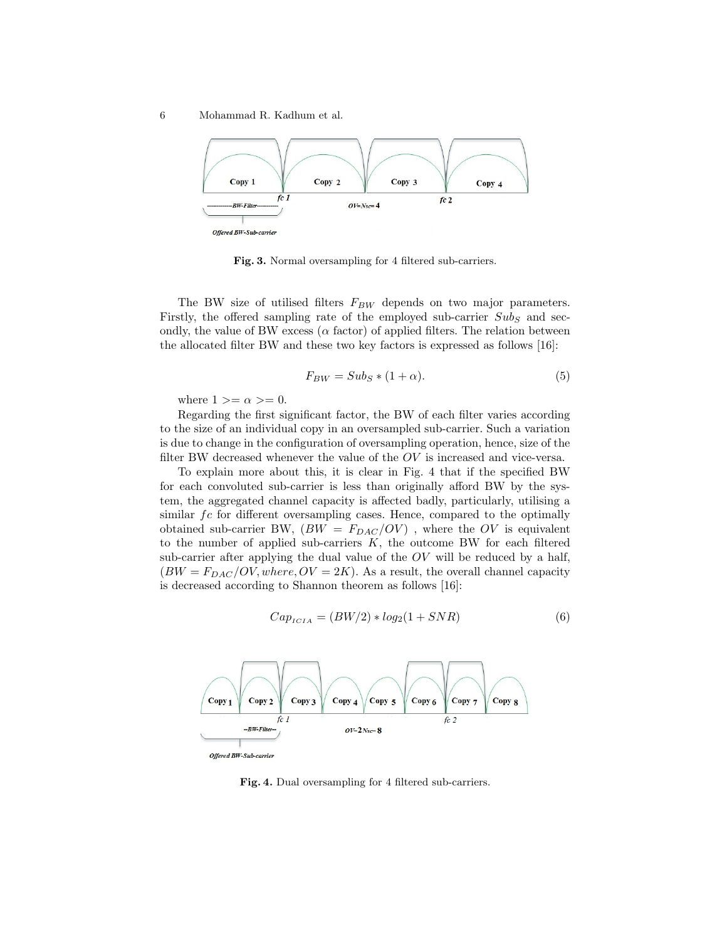6 Mohammad R. Kadhum et al.



Fig. 3. Normal oversampling for 4 filtered sub-carriers.

The BW size of utilised filters  $F_{BW}$  depends on two major parameters. Firstly, the offered sampling rate of the employed sub-carrier  $Sub_S$  and secondly, the value of BW excess ( $\alpha$  factor) of applied filters. The relation between the allocated filter BW and these two key factors is expressed as follows [16]:

$$
F_{BW} = Sub_S * (1 + \alpha).
$$
\n<sup>(5)</sup>

where  $1 >= \alpha >= 0$ .

Regarding the first significant factor, the BW of each filter varies according to the size of an individual copy in an oversampled sub-carrier. Such a variation is due to change in the configuration of oversampling operation, hence, size of the filter BW decreased whenever the value of the  $OV$  is increased and vice-versa.

To explain more about this, it is clear in Fig. 4 that if the specified BW for each convoluted sub-carrier is less than originally afford BW by the system, the aggregated channel capacity is affected badly, particularly, utilising a similar  $fc$  for different oversampling cases. Hence, compared to the optimally obtained sub-carrier BW,  $(BW = F_{DAC}/OV)$ , where the OV is equivalent to the number of applied sub-carriers  $K$ , the outcome BW for each filtered sub-carrier after applying the dual value of the  $OV$  will be reduced by a half,  $(BW = F_{DAC}/OV, where, OV = 2K)$ . As a result, the overall channel capacity is decreased according to Shannon theorem as follows [16]:

$$
CapICIA = (BW/2) * log2(1 + SNR)
$$
\n(6)



Fig. 4. Dual oversampling for 4 filtered sub-carriers.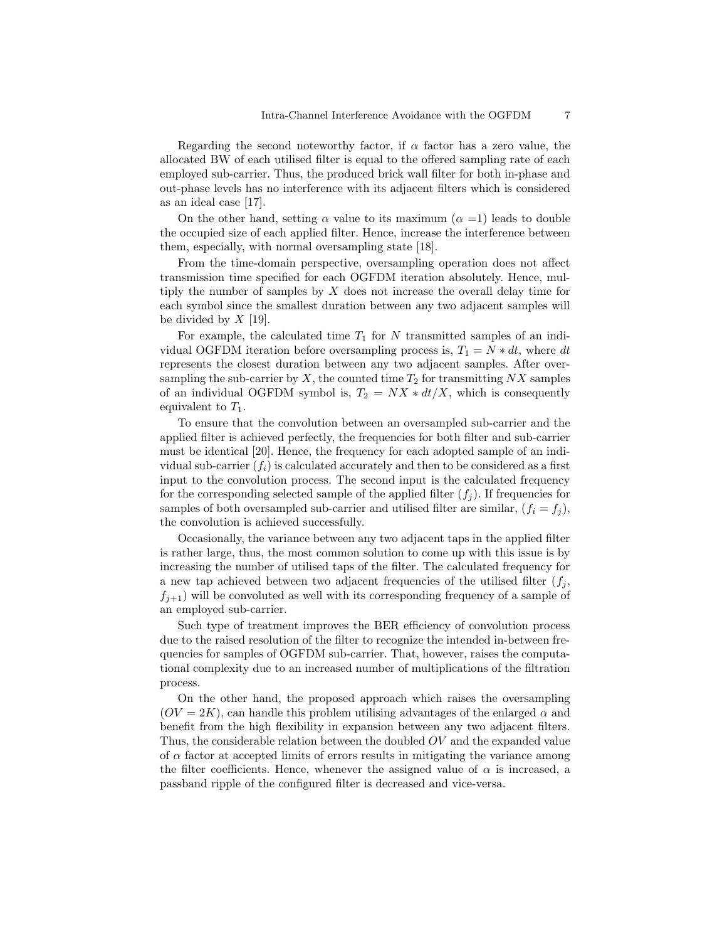Regarding the second noteworthy factor, if  $\alpha$  factor has a zero value, the allocated BW of each utilised filter is equal to the offered sampling rate of each employed sub-carrier. Thus, the produced brick wall filter for both in-phase and out-phase levels has no interference with its adjacent filters which is considered as an ideal case [17].

On the other hand, setting  $\alpha$  value to its maximum  $(\alpha =1)$  leads to double the occupied size of each applied filter. Hence, increase the interference between them, especially, with normal oversampling state [18].

From the time-domain perspective, oversampling operation does not affect transmission time specified for each OGFDM iteration absolutely. Hence, multiply the number of samples by X does not increase the overall delay time for each symbol since the smallest duration between any two adjacent samples will be divided by  $X$  [19].

For example, the calculated time  $T_1$  for N transmitted samples of an individual OGFDM iteration before oversampling process is,  $T_1 = N * dt$ , where dt represents the closest duration between any two adjacent samples. After oversampling the sub-carrier by X, the counted time  $T_2$  for transmitting NX samples of an individual OGFDM symbol is,  $T_2 = N X * dt/X$ , which is consequently equivalent to  $T_1$ .

To ensure that the convolution between an oversampled sub-carrier and the applied filter is achieved perfectly, the frequencies for both filter and sub-carrier must be identical [20]. Hence, the frequency for each adopted sample of an individual sub-carrier  $(f_i)$  is calculated accurately and then to be considered as a first input to the convolution process. The second input is the calculated frequency for the corresponding selected sample of the applied filter  $(f_i)$ . If frequencies for samples of both oversampled sub-carrier and utilised filter are similar,  $(f_i = f_j)$ , the convolution is achieved successfully.

Occasionally, the variance between any two adjacent taps in the applied filter is rather large, thus, the most common solution to come up with this issue is by increasing the number of utilised taps of the filter. The calculated frequency for a new tap achieved between two adjacent frequencies of the utilised filter  $(f_i, f_j)$  $f_{i+1}$ ) will be convoluted as well with its corresponding frequency of a sample of an employed sub-carrier.

Such type of treatment improves the BER efficiency of convolution process due to the raised resolution of the filter to recognize the intended in-between frequencies for samples of OGFDM sub-carrier. That, however, raises the computational complexity due to an increased number of multiplications of the filtration process.

On the other hand, the proposed approach which raises the oversampling  $(OV = 2K)$ , can handle this problem utilising advantages of the enlarged  $\alpha$  and benefit from the high flexibility in expansion between any two adjacent filters. Thus, the considerable relation between the doubled OV and the expanded value of  $\alpha$  factor at accepted limits of errors results in mitigating the variance among the filter coefficients. Hence, whenever the assigned value of  $\alpha$  is increased, a passband ripple of the configured filter is decreased and vice-versa.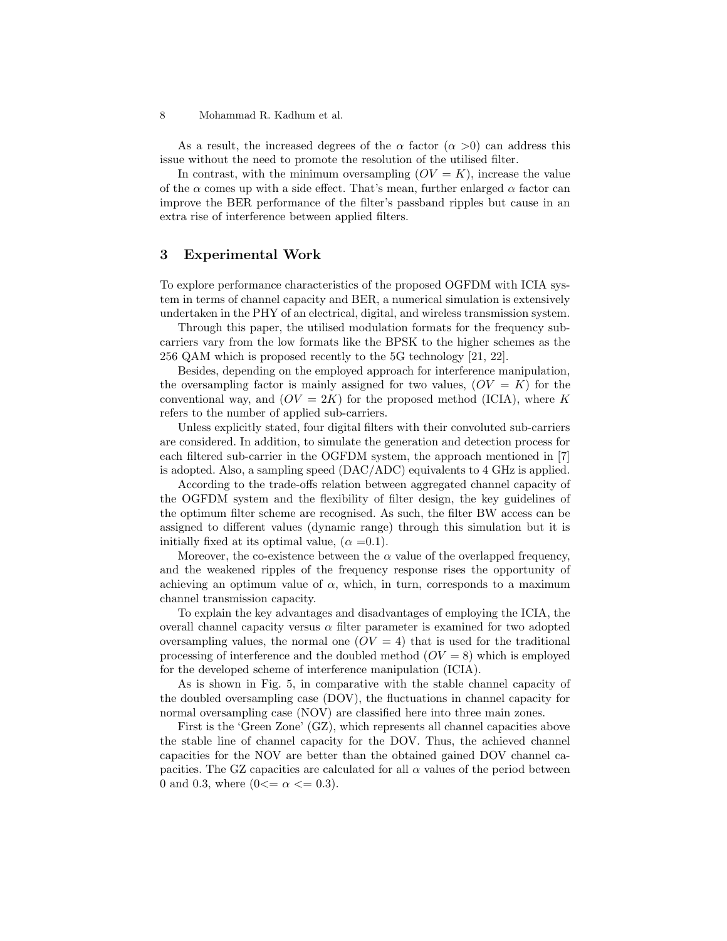As a result, the increased degrees of the  $\alpha$  factor  $(\alpha >0)$  can address this issue without the need to promote the resolution of the utilised filter.

In contrast, with the minimum oversampling  $(OV = K)$ , increase the value of the  $\alpha$  comes up with a side effect. That's mean, further enlarged  $\alpha$  factor can improve the BER performance of the filter's passband ripples but cause in an extra rise of interference between applied filters.

#### 3 Experimental Work

To explore performance characteristics of the proposed OGFDM with ICIA system in terms of channel capacity and BER, a numerical simulation is extensively undertaken in the PHY of an electrical, digital, and wireless transmission system.

Through this paper, the utilised modulation formats for the frequency subcarriers vary from the low formats like the BPSK to the higher schemes as the 256 QAM which is proposed recently to the 5G technology [21, 22].

Besides, depending on the employed approach for interference manipulation, the oversampling factor is mainly assigned for two values,  $(OV = K)$  for the conventional way, and  $(OV = 2K)$  for the proposed method (ICIA), where K refers to the number of applied sub-carriers.

Unless explicitly stated, four digital filters with their convoluted sub-carriers are considered. In addition, to simulate the generation and detection process for each filtered sub-carrier in the OGFDM system, the approach mentioned in [7] is adopted. Also, a sampling speed (DAC/ADC) equivalents to 4 GHz is applied.

According to the trade-offs relation between aggregated channel capacity of the OGFDM system and the flexibility of filter design, the key guidelines of the optimum filter scheme are recognised. As such, the filter BW access can be assigned to different values (dynamic range) through this simulation but it is initially fixed at its optimal value,  $(\alpha = 0.1)$ .

Moreover, the co-existence between the  $\alpha$  value of the overlapped frequency, and the weakened ripples of the frequency response rises the opportunity of achieving an optimum value of  $\alpha$ , which, in turn, corresponds to a maximum channel transmission capacity.

To explain the key advantages and disadvantages of employing the ICIA, the overall channel capacity versus  $\alpha$  filter parameter is examined for two adopted oversampling values, the normal one  $(OV = 4)$  that is used for the traditional processing of interference and the doubled method  $(OV = 8)$  which is employed for the developed scheme of interference manipulation (ICIA).

As is shown in Fig. 5, in comparative with the stable channel capacity of the doubled oversampling case (DOV), the fluctuations in channel capacity for normal oversampling case (NOV) are classified here into three main zones.

First is the 'Green Zone' (GZ), which represents all channel capacities above the stable line of channel capacity for the DOV. Thus, the achieved channel capacities for the NOV are better than the obtained gained DOV channel capacities. The GZ capacities are calculated for all  $\alpha$  values of the period between 0 and 0.3, where  $(0 \le \alpha \le 0.3)$ .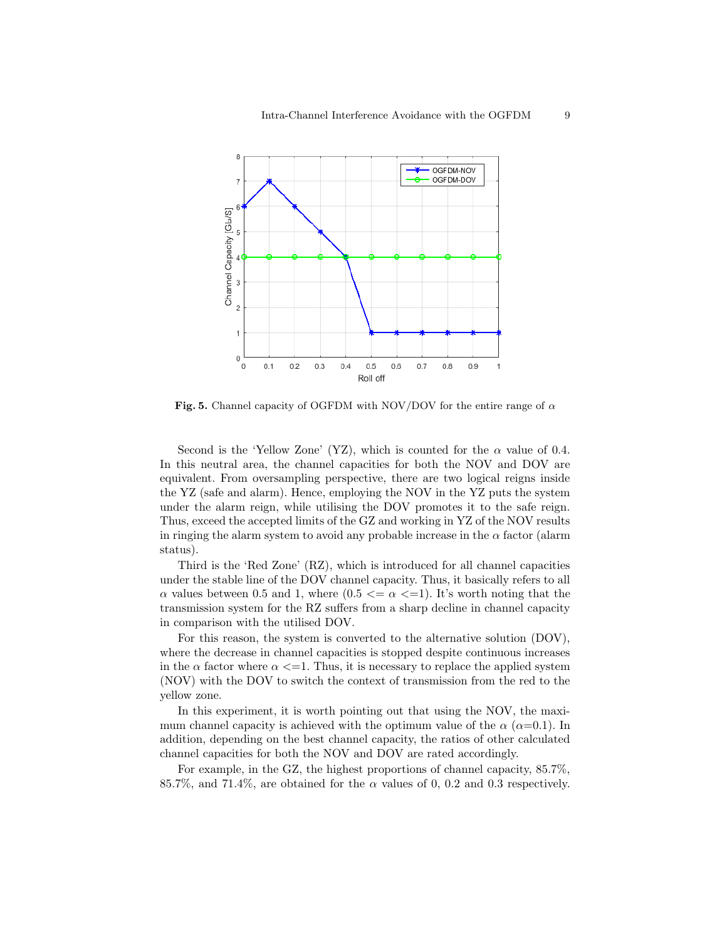

Fig. 5. Channel capacity of OGFDM with NOV/DOV for the entire range of  $\alpha$ 

Second is the 'Yellow Zone' (YZ), which is counted for the  $\alpha$  value of 0.4. In this neutral area, the channel capacities for both the NOV and DOV are equivalent. From oversampling perspective, there are two logical reigns inside the YZ (safe and alarm). Hence, employing the NOV in the YZ puts the system under the alarm reign, while utilising the DOV promotes it to the safe reign. Thus, exceed the accepted limits of the GZ and working in YZ of the NOV results in ringing the alarm system to avoid any probable increase in the  $\alpha$  factor (alarm status).

Third is the 'Red Zone' (RZ), which is introduced for all channel capacities under the stable line of the DOV channel capacity. Thus, it basically refers to all  $\alpha$  values between 0.5 and 1, where  $(0.5 \le \alpha \le -1)$ . It's worth noting that the transmission system for the RZ suffers from a sharp decline in channel capacity in comparison with the utilised DOV.

For this reason, the system is converted to the alternative solution (DOV), where the decrease in channel capacities is stopped despite continuous increases in the  $\alpha$  factor where  $\alpha \leq 1$ . Thus, it is necessary to replace the applied system (NOV) with the DOV to switch the context of transmission from the red to the yellow zone.

In this experiment, it is worth pointing out that using the NOV, the maximum channel capacity is achieved with the optimum value of the  $\alpha$  ( $\alpha$ =0.1). In addition, depending on the best channel capacity, the ratios of other calculated channel capacities for both the NOV and DOV are rated accordingly.

For example, in the GZ, the highest proportions of channel capacity, 85.7%, 85.7%, and 71.4%, are obtained for the  $\alpha$  values of 0, 0.2 and 0.3 respectively.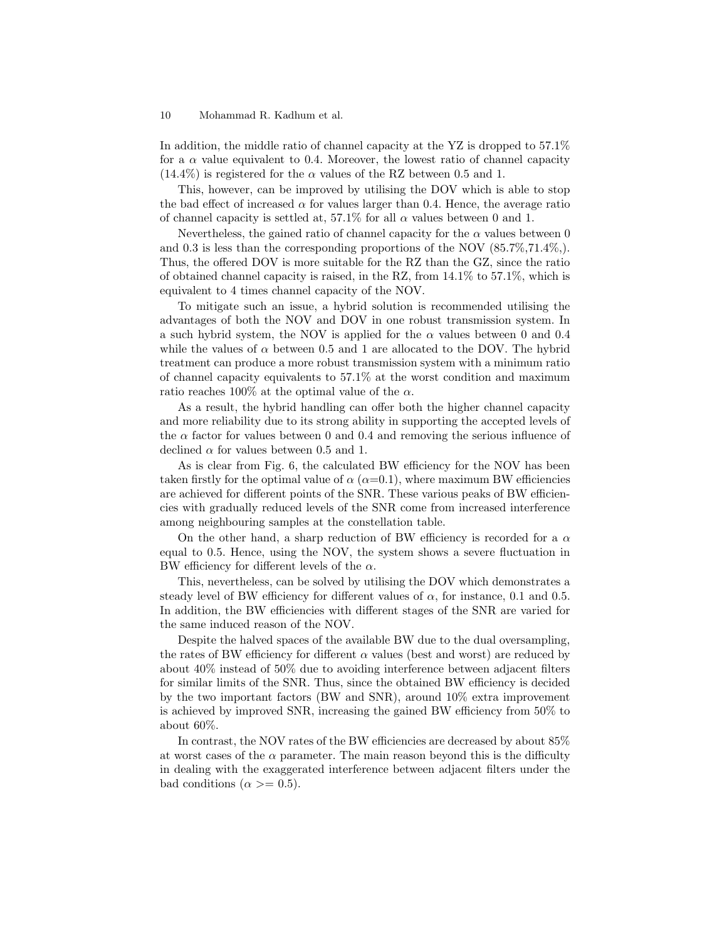In addition, the middle ratio of channel capacity at the YZ is dropped to 57.1% for a  $\alpha$  value equivalent to 0.4. Moreover, the lowest ratio of channel capacity  $(14.4\%)$  is registered for the  $\alpha$  values of the RZ between 0.5 and 1.

This, however, can be improved by utilising the DOV which is able to stop the bad effect of increased  $\alpha$  for values larger than 0.4. Hence, the average ratio of channel capacity is settled at, 57.1% for all  $\alpha$  values between 0 and 1.

Nevertheless, the gained ratio of channel capacity for the  $\alpha$  values between 0 and 0.3 is less than the corresponding proportions of the NOV (85.7%,71.4%,). Thus, the offered DOV is more suitable for the RZ than the GZ, since the ratio of obtained channel capacity is raised, in the RZ, from 14.1% to 57.1%, which is equivalent to 4 times channel capacity of the NOV.

To mitigate such an issue, a hybrid solution is recommended utilising the advantages of both the NOV and DOV in one robust transmission system. In a such hybrid system, the NOV is applied for the  $\alpha$  values between 0 and 0.4 while the values of  $\alpha$  between 0.5 and 1 are allocated to the DOV. The hybrid treatment can produce a more robust transmission system with a minimum ratio of channel capacity equivalents to 57.1% at the worst condition and maximum ratio reaches 100% at the optimal value of the  $\alpha$ .

As a result, the hybrid handling can offer both the higher channel capacity and more reliability due to its strong ability in supporting the accepted levels of the  $\alpha$  factor for values between 0 and 0.4 and removing the serious influence of declined  $\alpha$  for values between 0.5 and 1.

As is clear from Fig. 6, the calculated BW efficiency for the NOV has been taken firstly for the optimal value of  $\alpha$  ( $\alpha$ =0.1), where maximum BW efficiencies are achieved for different points of the SNR. These various peaks of BW efficiencies with gradually reduced levels of the SNR come from increased interference among neighbouring samples at the constellation table.

On the other hand, a sharp reduction of BW efficiency is recorded for a  $\alpha$ equal to 0.5. Hence, using the NOV, the system shows a severe fluctuation in BW efficiency for different levels of the  $\alpha$ .

This, nevertheless, can be solved by utilising the DOV which demonstrates a steady level of BW efficiency for different values of  $\alpha$ , for instance, 0.1 and 0.5. In addition, the BW efficiencies with different stages of the SNR are varied for the same induced reason of the NOV.

Despite the halved spaces of the available BW due to the dual oversampling, the rates of BW efficiency for different  $\alpha$  values (best and worst) are reduced by about 40% instead of 50% due to avoiding interference between adjacent filters for similar limits of the SNR. Thus, since the obtained BW efficiency is decided by the two important factors (BW and SNR), around 10% extra improvement is achieved by improved SNR, increasing the gained BW efficiency from 50% to about 60%.

In contrast, the NOV rates of the BW efficiencies are decreased by about 85% at worst cases of the  $\alpha$  parameter. The main reason beyond this is the difficulty in dealing with the exaggerated interference between adjacent filters under the bad conditions ( $\alpha \geq 0.5$ ).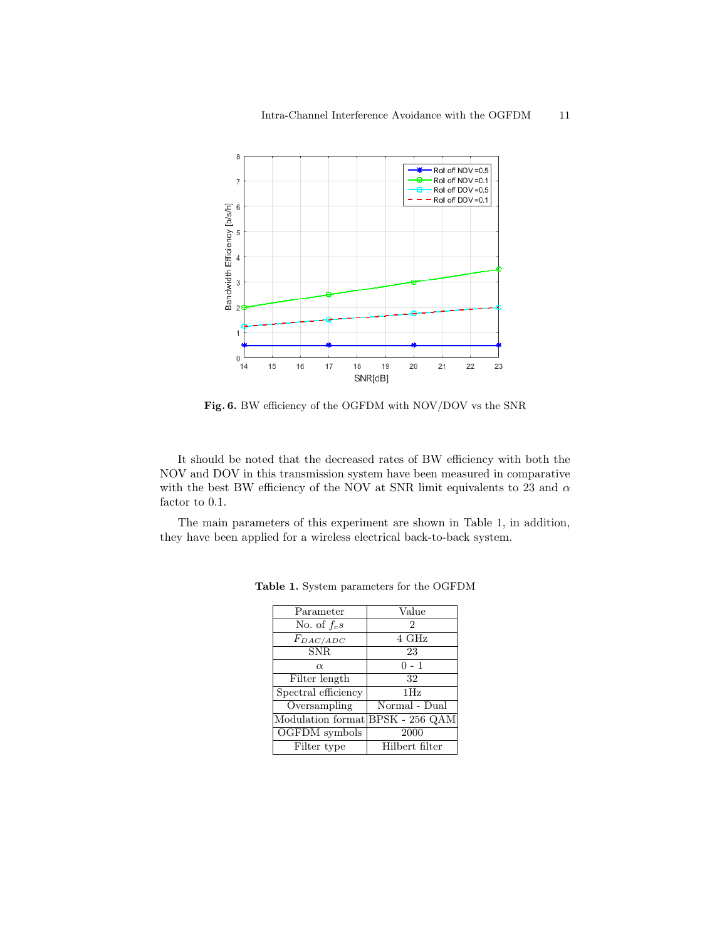

Fig. 6. BW efficiency of the OGFDM with NOV/DOV vs the SNR

It should be noted that the decreased rates of BW efficiency with both the NOV and DOV in this transmission system have been measured in comparative with the best BW efficiency of the NOV at SNR limit equivalents to 23 and  $\alpha$ factor to 0.1.

The main parameters of this experiment are shown in Table 1, in addition, they have been applied for a wireless electrical back-to-back system.

| Parameter                        | Value          |
|----------------------------------|----------------|
| No. of $f_c s$                   | 2              |
| $F_{DAC/ADC}$                    | 4 GHz          |
| SNR.                             | 23             |
| $\alpha$                         | $0 - 1$        |
| Filter length                    | 32             |
| Spectral efficiency              | 1Hz            |
| $\overline{\text{Oversampling}}$ | Normal - Dual  |
| Modulation format BPSK - 256 QAM |                |
| OGFDM symbols                    | 2000           |
| Filter type                      | Hilbert filter |

Table 1. System parameters for the OGFDM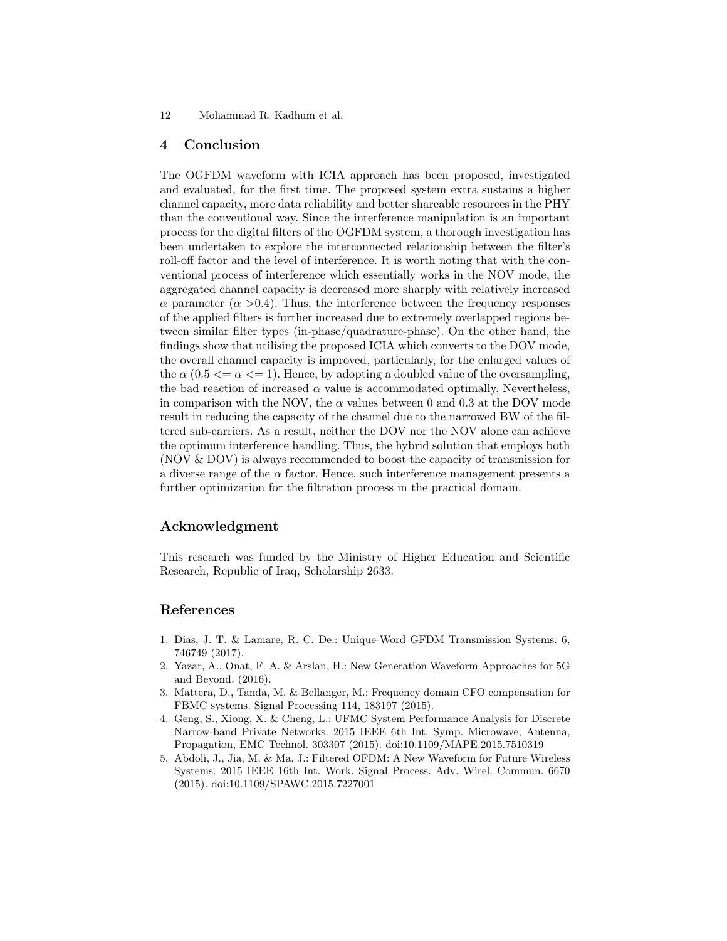#### 4 Conclusion

The OGFDM waveform with ICIA approach has been proposed, investigated and evaluated, for the first time. The proposed system extra sustains a higher channel capacity, more data reliability and better shareable resources in the PHY than the conventional way. Since the interference manipulation is an important process for the digital filters of the OGFDM system, a thorough investigation has been undertaken to explore the interconnected relationship between the filter's roll-off factor and the level of interference. It is worth noting that with the conventional process of interference which essentially works in the NOV mode, the aggregated channel capacity is decreased more sharply with relatively increased  $\alpha$  parameter ( $\alpha$  >0.4). Thus, the interference between the frequency responses of the applied filters is further increased due to extremely overlapped regions between similar filter types (in-phase/quadrature-phase). On the other hand, the findings show that utilising the proposed ICIA which converts to the DOV mode, the overall channel capacity is improved, particularly, for the enlarged values of the  $\alpha$  (0.5  $\lt = \alpha \lt = 1$ ). Hence, by adopting a doubled value of the oversampling, the bad reaction of increased  $\alpha$  value is accommodated optimally. Nevertheless, in comparison with the NOV, the  $\alpha$  values between 0 and 0.3 at the DOV mode result in reducing the capacity of the channel due to the narrowed BW of the filtered sub-carriers. As a result, neither the DOV nor the NOV alone can achieve the optimum interference handling. Thus, the hybrid solution that employs both (NOV & DOV) is always recommended to boost the capacity of transmission for a diverse range of the  $\alpha$  factor. Hence, such interference management presents a further optimization for the filtration process in the practical domain.

## Acknowledgment

This research was funded by the Ministry of Higher Education and Scientific Research, Republic of Iraq, Scholarship 2633.

## References

- 1. Dias, J. T. & Lamare, R. C. De.: Unique-Word GFDM Transmission Systems. 6, 746749 (2017).
- 2. Yazar, A., Onat, F. A. & Arslan, H.: New Generation Waveform Approaches for 5G and Beyond. (2016).
- 3. Mattera, D., Tanda, M. & Bellanger, M.: Frequency domain CFO compensation for FBMC systems. Signal Processing 114, 183197 (2015).
- 4. Geng, S., Xiong, X. & Cheng, L.: UFMC System Performance Analysis for Discrete Narrow-band Private Networks. 2015 IEEE 6th Int. Symp. Microwave, Antenna, Propagation, EMC Technol. 303307 (2015). doi:10.1109/MAPE.2015.7510319
- 5. Abdoli, J., Jia, M. & Ma, J.: Filtered OFDM: A New Waveform for Future Wireless Systems. 2015 IEEE 16th Int. Work. Signal Process. Adv. Wirel. Commun. 6670 (2015). doi:10.1109/SPAWC.2015.7227001